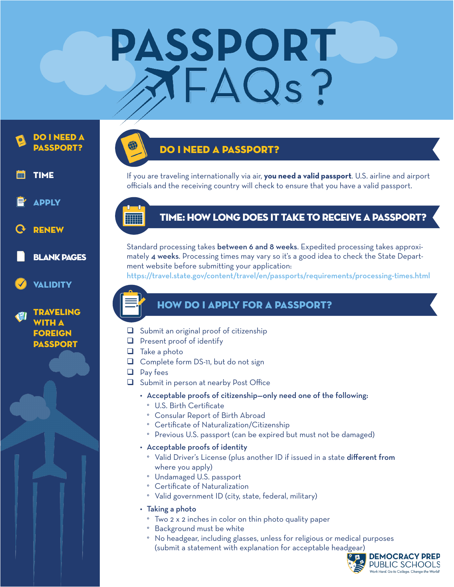# PASSPORT XFAQs?





traveling WITH **A** foreign **PASSPORT** 

### do i need a passport?

If you are traveling internationally via air, **you need a valid passport**. U.S. airline and airport officials and the receiving country will check to ensure that you have a valid passport.

### time: How Long does it take to receive a passport?

Standard processing takes between 6 and 8 weeks. Expedited processing takes approximately 4 weeks. Processing times may vary so it's a good idea to check the State Department website before submitting your application:

https://travel.state.gov/content/travel/en/passports/requirements/processing-times.html

#### how do i apply for a passport?

- $\Box$  Submit an original proof of citizenship
- $\Box$  Present proof of identify
- $\Box$  Take a photo
- $\Box$  Complete form DS-11, but do not sign
- $\Box$  Pay fees
- $\Box$  Submit in person at nearby Post Office
	- • Acceptable proofs of citizenship—only need one of the following:
		- ° U.S. Birth Certificate
		- ° Consular Report of Birth Abroad
		- ° Certificate of Naturalization/Citizenship
		- ° Previous U.S. passport (can be expired but must not be damaged)
	- • Acceptable proofs of identity
		- ° Valid Driver's License (plus another ID if issued in a state different from where you apply)
	- ° Undamaged U.S. passport
	- ° Certificate of Naturalization
	- ° Valid government ID (city, state, federal, military)
	- Taking a photo
		- ° Two 2 x 2 inches in color on thin photo quality paper
		- ° Background must be white
		- ° No headgear, including glasses, unless for religious or medical purposes (submit a statement with explanation for acceptable headgear)

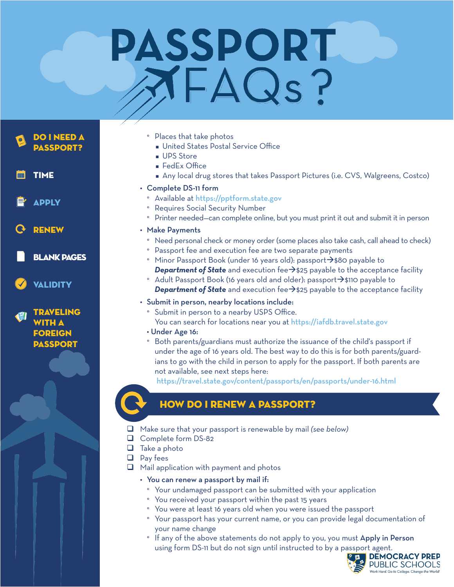# PASSPORT XFAQS?

DO I NEED A passport?

**TIME** 

Apply

renew

blank pages

**VALIDITY** 

traveling WITH A foreign **PASSPORT** 



- **n** United States Postal Service Office
- **u** UPS Store
- $\blacksquare$  FedEx Office
- <sup>n</sup> Any local drug stores that takes Passport Pictures (i.e. CVS, Walgreens, Costco)

#### • Complete DS-11 form

- ° Available at https://pptform.state.gov
- ° Requires Social Security Number
- ° Printer needed—can complete online, but you must print it out and submit it in person
- • Make Payments
	- ° Need personal check or money order (some places also take cash, call ahead to check)
	- ° Passport fee and execution fee are two separate payments
	- Minor Passport Book (under 16 years old): passport $\rightarrow$ \$80 payable to **Department of State** and execution fee $\rightarrow$ \$25 payable to the acceptance facility
	- Adult Passport Book (16 years old and older): passport $\rightarrow$ \$110 payable to **Department of State** and execution fee $\rightarrow$ \$25 payable to the acceptance facility
- Submit in person, nearby locations include:
	- ° Submit in person to a nearby USPS Office.
	- You can search for locations near you at https://iafdb.travel.state.gov
	- Under Age 16:
	- ° Both parents/guardians must authorize the issuance of the child's passport if under the age of 16 years old. The best way to do this is for both parents/guardians to go with the child in person to apply for the passport. If both parents are not available, see next steps here:

https://travel.state.gov/content/passports/en/passports/under-16.html

### how do i renew a passport?

- **Q** Make sure that your passport is renewable by mail (see below)
- Q Complete form DS-82
- $\Box$  Take a photo
- $\Box$  Pay fees
- $\Box$  Mail application with payment and photos
	- You can renew a passport by mail if:
		- ° Your undamaged passport can be submitted with your application
		- ° You received your passport within the past 15 years
	- ° You were at least 16 years old when you were issued the passport
		- ° Your passport has your current name, or you can provide legal documentation of your name change
		- If any of the above statements do not apply to you, you must Apply in Person using form DS-11 but do not sign until instructed to by a passport agent.<br> **EXEMOCRACY PREP**

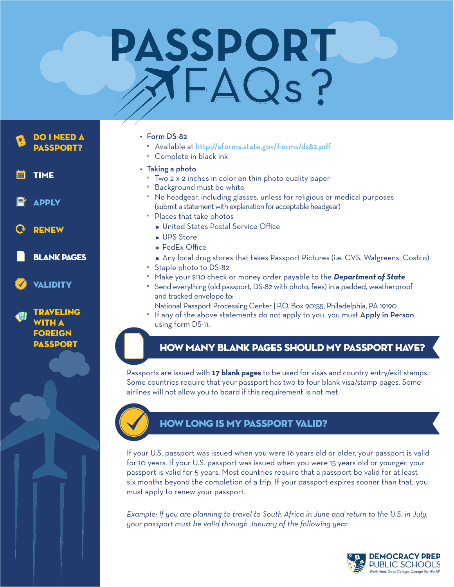# **PASSPORT** XFAQs?

DO I NEED A passport? **TIME** Apply renew blank pages **VALIDITY** 



#### • Form DS-82

- ° Available at http://eforms.state.gov/Forms/ds82.pdf
- ° Complete in black ink
- $\cdot$  Taking a photo
	- ° Two 2 x 2 inches in color on thin photo quality paper
	- ° Background must be white
	- ° No headgear, including glasses, unless for religious or medical purposes (submit a statement with explanation for acceptable headgear)
	- ° Places that take photos
		- **n** United States Postal Service Office
		- **u** UPS Store
		- FedEx Office
		- **Any local drug stores that takes Passport Pictures (i.e. CVS, Walgreens, Costco)**
	- ° Staple photo to DS-82
	- ° Make your \$110 check or money order payable to the *Department of State*
	- ° Send everything (old passport, DS-82 with photo, fees) in a padded, weatherproof and tracked envelope to:
	- National Passport Processing Center | P.O. Box 90155, Philadelphia, PA 19190
	- If any of the above statements do not apply to you, you must Apply in Person using form DS-11.

#### how many blank pages should my passport have?

Passports are issued with **17 blank pages** to be used for visas and country entry/exit stamps. Some countries require that your passport has two to four blank visa/stamp pages. Some airlines will not allow you to board if this requirement is not met.



#### how long is my passport valid?

If your U.S. passport was issued when you were 16 years old or older, your passport is valid for 10 years. If your U.S. passport was issued when you were 15 years old or younger, your passport is valid for 5 years. Most countries require that a passport be valid for at least six months beyond the completion of a trip. If your passport expires sooner than that, you must apply to renew your passport.

*Example: If you are planning to travel to South Africa in June and return to the U.S. in July, your passport must be valid through January of the following year.*